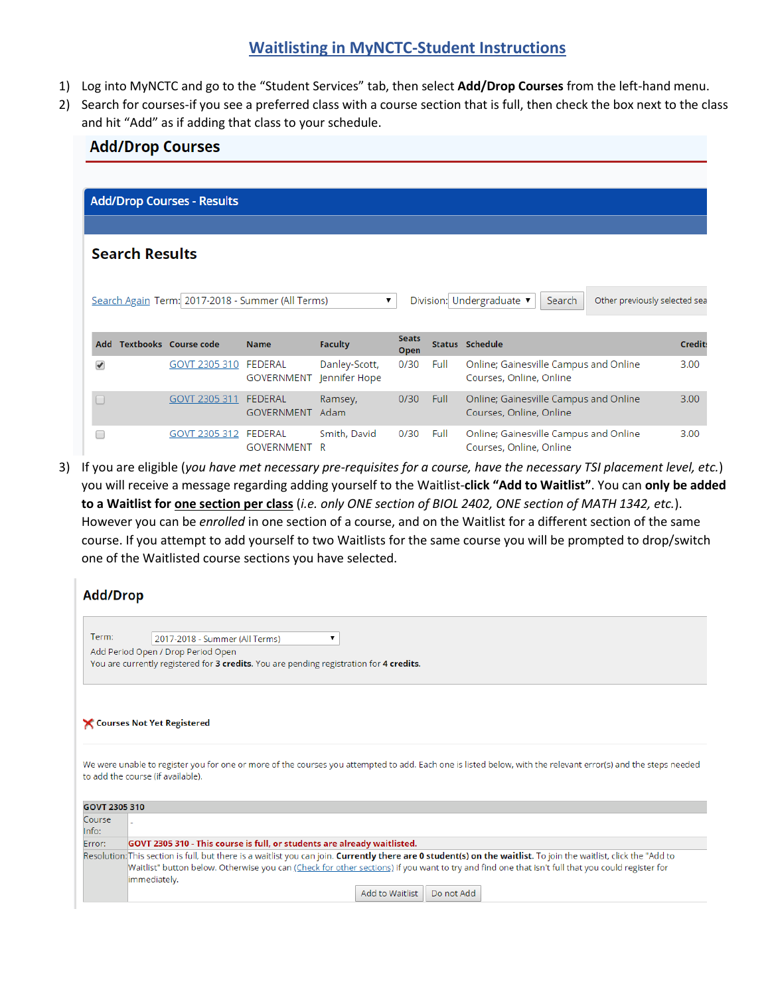## **Waitlisting in MyNCTC-Student Instructions**

1) Log into MyNCTC and go to the "Student Services" tab, then select **Add/Drop Courses** from the left-hand menu.

**Add/Drop Courses** 

2) Search for courses-if you see a preferred class with a course section that is full, then check the box next to the class and hit "Add" as if adding that class to your schedule.

|                                                                                                                                                 | <b>Add/Drop Courses - Results</b> |                                     |                                |                      |      |                                                                  |  |                |  |
|-------------------------------------------------------------------------------------------------------------------------------------------------|-----------------------------------|-------------------------------------|--------------------------------|----------------------|------|------------------------------------------------------------------|--|----------------|--|
|                                                                                                                                                 |                                   |                                     |                                |                      |      |                                                                  |  |                |  |
| <b>Search Results</b>                                                                                                                           |                                   |                                     |                                |                      |      |                                                                  |  |                |  |
| Division: Undergraduate<br>Search Again Term: 2017-2018 - Summer (All Terms)<br>Other previously selected sea<br>Search<br>$\blacktriangledown$ |                                   |                                     |                                |                      |      |                                                                  |  |                |  |
| <b>Add</b>                                                                                                                                      | <b>Textbooks</b> Course code      | <b>Name</b>                         | <b>Faculty</b>                 | <b>Seats</b><br>Open |      | <b>Status Schedule</b>                                           |  | <b>Credits</b> |  |
| $\overline{\mathcal{L}}$                                                                                                                        | GOVT 2305 310                     | <b>FEDERAL</b><br><b>GOVERNMENT</b> | Danley-Scott,<br>Jennifer Hope | 0/30                 | Full | Online; Gainesville Campus and Online<br>Courses, Online, Online |  | 3.00           |  |
| $\Box$                                                                                                                                          | GOVT 2305 311                     | <b>FEDERAL</b><br><b>GOVERNMENT</b> | Ramsey,<br>Adam                | 0/30                 | Full | Online; Gainesville Campus and Online<br>Courses, Online, Online |  | 3.00           |  |
| ┌                                                                                                                                               | GOVT 2305 312                     | <b>FEDERAL</b><br><b>GOVERNMENT</b> | Smith, David<br>R              | 0/30                 | Full | Online; Gainesville Campus and Online<br>Courses, Online, Online |  | 3.00           |  |

3) If you are eligible (*you have met necessary pre-requisites for a course, have the necessary TSI placement level, etc.*) you will receive a message regarding adding yourself to the Waitlist-**click "Add to Waitlist"**. You can **only be added to a Waitlist for one section per class** (*i.e. only ONE section of BIOL 2402, ONE section of MATH 1342, etc.*). However you can be *enrolled* in one section of a course, and on the Waitlist for a different section of the same course. If you attempt to add yourself to two Waitlists for the same course you will be prompted to drop/switch one of the Waitlisted course sections you have selected.

| <b>Add/Drop</b>                                                                         |                                                                                                                                                                                                                                                                                                                                       |  |  |  |  |  |  |  |  |
|-----------------------------------------------------------------------------------------|---------------------------------------------------------------------------------------------------------------------------------------------------------------------------------------------------------------------------------------------------------------------------------------------------------------------------------------|--|--|--|--|--|--|--|--|
|                                                                                         |                                                                                                                                                                                                                                                                                                                                       |  |  |  |  |  |  |  |  |
| Term:                                                                                   | 2017-2018 - Summer (All Terms)                                                                                                                                                                                                                                                                                                        |  |  |  |  |  |  |  |  |
|                                                                                         | Add Period Open / Drop Period Open                                                                                                                                                                                                                                                                                                    |  |  |  |  |  |  |  |  |
| You are currently registered for 3 credits. You are pending registration for 4 credits. |                                                                                                                                                                                                                                                                                                                                       |  |  |  |  |  |  |  |  |
|                                                                                         |                                                                                                                                                                                                                                                                                                                                       |  |  |  |  |  |  |  |  |
|                                                                                         | Courses Not Yet Registered                                                                                                                                                                                                                                                                                                            |  |  |  |  |  |  |  |  |
|                                                                                         | We were unable to register you for one or more of the courses you attempted to add. Each one is listed below, with the relevant error(s) and the steps needed<br>to add the course (if available).                                                                                                                                    |  |  |  |  |  |  |  |  |
| GOVT 2305 310                                                                           |                                                                                                                                                                                                                                                                                                                                       |  |  |  |  |  |  |  |  |
| Course                                                                                  |                                                                                                                                                                                                                                                                                                                                       |  |  |  |  |  |  |  |  |
| Info:                                                                                   |                                                                                                                                                                                                                                                                                                                                       |  |  |  |  |  |  |  |  |
| Error:                                                                                  | GOVT 2305 310 - This course is full, or students are already waitlisted.                                                                                                                                                                                                                                                              |  |  |  |  |  |  |  |  |
|                                                                                         | Resolution: This section is full, but there is a waitlist you can join. Currently there are 0 student(s) on the waitlist. To join the waitlist, click the "Add to<br>Waitlist" button below. Otherwise you can (Check for other sections) if you want to try and find one that isn't full that you could register for<br>immediately. |  |  |  |  |  |  |  |  |
|                                                                                         | Add to Waitlist<br>Do not Add                                                                                                                                                                                                                                                                                                         |  |  |  |  |  |  |  |  |
|                                                                                         |                                                                                                                                                                                                                                                                                                                                       |  |  |  |  |  |  |  |  |